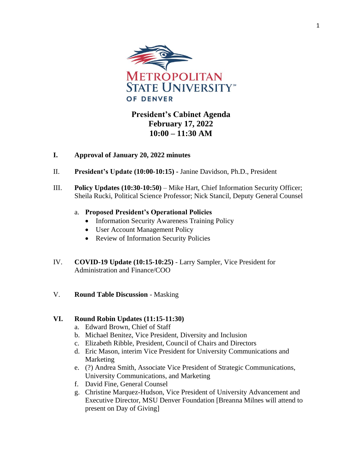

## **President's Cabinet Agenda February 17, 2022 10:00 – 11:30 AM**

## **I. Approval of January 20, 2022 minutes**

- II. **President's Update (10:00-10:15) -** Janine Davidson, Ph.D., President
- III. **Policy Updates (10:30-10:50)** Mike Hart, Chief Information Security Officer; Sheila Rucki, Political Science Professor; Nick Stancil, Deputy General Counsel

## a. **Proposed President's Operational Policies**

- Information Security Awareness Training Policy
- User Account Management Policy
- Review of Information Security Policies
- IV. **COVID-19 Update (10:15-10:25)** Larry Sampler, Vice President for Administration and Finance/COO
- V. **Round Table Discussion**  Masking

## **VI. Round Robin Updates (11:15-11:30)**

- a. Edward Brown, Chief of Staff
- b. Michael Benitez, Vice President, Diversity and Inclusion
- c. Elizabeth Ribble, President, Council of Chairs and Directors
- d. Eric Mason, interim Vice President for University Communications and Marketing
- e. (?) Andrea Smith, Associate Vice President of Strategic Communications, University Communications, and Marketing
- f. David Fine, General Counsel
- g. Christine Marquez-Hudson, Vice President of University Advancement and Executive Director, MSU Denver Foundation [Breanna Milnes will attend to present on Day of Giving]